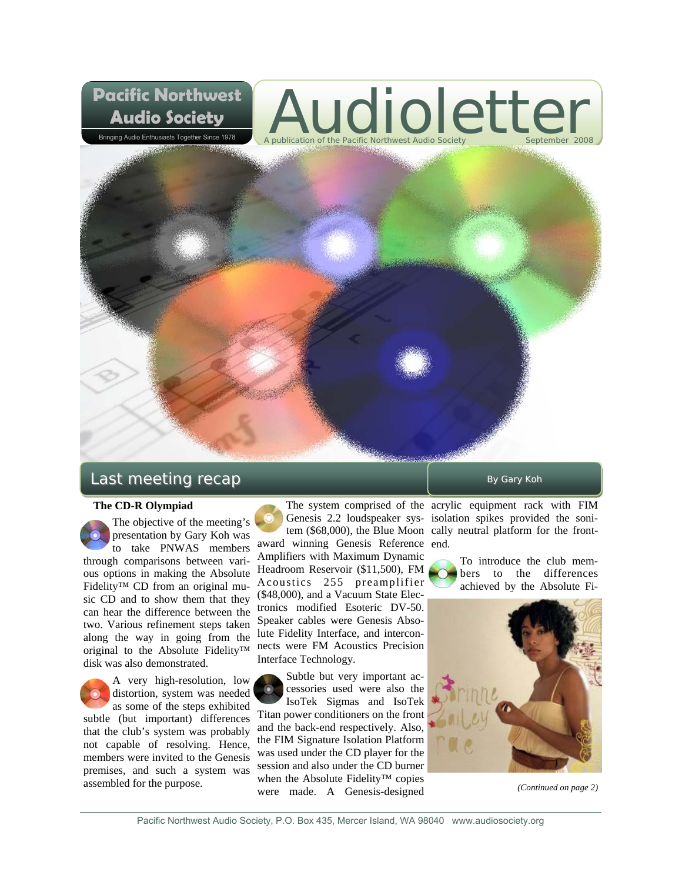# Audioletter A publication of the Pacific Northwest Audio Society



## $Last$  meeting  $recap$   $By$  Gary Koh

**Pacific Northwest** 

**Audio Society** Bringing Audio Enthusiasts Together Since 1978

### **The CD-R Olympiad**

The objective of the meeting's presentation by Gary Koh was to take PNWAS members through comparisons between various options in making the Absolute Fidelity™ CD from an original music CD and to show them that they can hear the difference between the two. Various refinement steps taken along the way in going from the original to the Absolute Fidelity™ disk was also demonstrated.

A very high-resolution, low distortion, system was needed as some of the steps exhibited subtle (but important) differences that the club's system was probably not capable of resolving. Hence, members were invited to the Genesis premises, and such a system was assembled for the purpose.

award winning Genesis Reference end. Amplifiers with Maximum Dynamic Headroom Reservoir (\$11,500), FM Acoustics 255 preamplifier (\$48,000), and a Vacuum State Electronics modified Esoteric DV-50. Speaker cables were Genesis Absolute Fidelity Interface, and interconnects were FM Acoustics Precision Interface Technology.

Subtle but very important accessories used were also the IsoTek Sigmas and IsoTek Titan power conditioners on the front and the back-end respectively. Also, the FIM Signature Isolation Platform was used under the CD player for the session and also under the CD burner when the Absolute Fidelity™ copies were made. A Genesis-designed

The system comprised of the acrylic equipment rack with FIM Genesis 2.2 loudspeaker sys-isolation spikes provided the sonitem (\$68,000), the Blue Moon cally neutral platform for the front-

> To introduce the club members to the differences achieved by the Absolute Fi-



*(Continued on page 2)*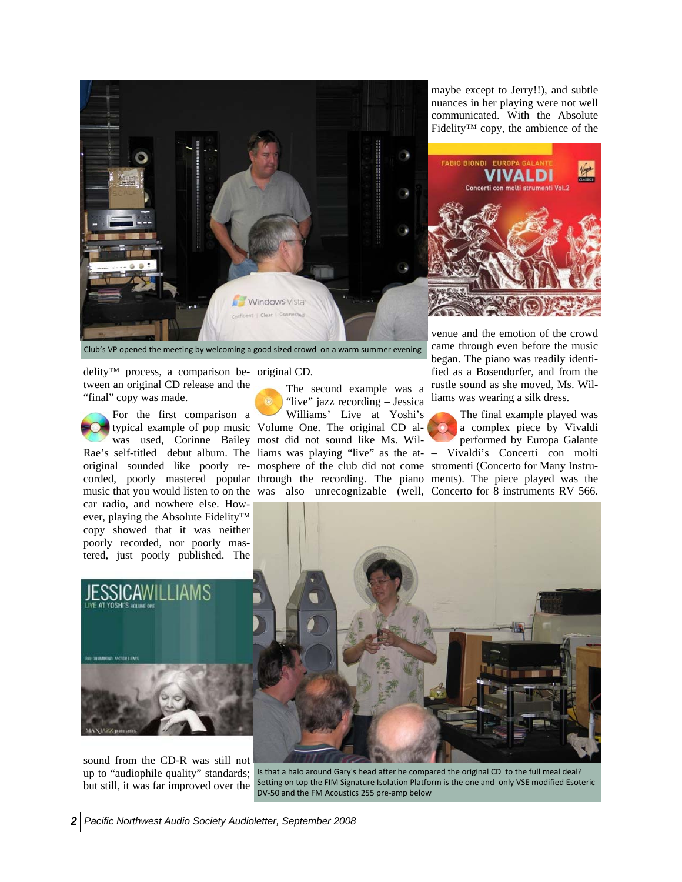

maybe except to Jerry!!), and subtle nuances in her playing were not well communicated. With the Absolute Fidelity™ copy, the ambience of the



Club's VP opened the meeting by welcoming a good sized crowd on a warm summer evening

delity™ process, a comparison be-original CD. tween an original CD release and the "final" copy was made.

For the first comparison a Rae's self-titled debut album. The liams was playing "live" as the at-– Vivaldi's Concerti con molti original sounded like poorly re-mosphere of the club did not come stromenti (Concerto for Many Instrucorded, poorly mastered popular through the recording. The piano ments). The piece played was the music that you would listen to on the was also unrecognizable (well, Concerto for 8 instruments RV 566. car radio, and nowhere else. However, playing the Absolute Fidelity™ copy showed that it was neither poorly recorded, nor poorly mastered, just poorly published. The

typical example of pop music Volume One. The original CD alwas used, Corinne Bailey most did not sound like Ms. Wil-The second example was a "live" jazz recording – Jessica Williams' Live at Yoshi's

venue and the emotion of the crowd came through even before the music began. The piano was readily identified as a Bosendorfer, and from the rustle sound as she moved, Ms. Williams was wearing a silk dress.

The final example played was a complex piece by Vivaldi performed by Europa Galante



sound from the CD-R was still not up to "audiophile quality" standards; but still, it was far improved over the

OKE VICTOR LEW

Is that a halo around Gary's head after he compared the original CD to the full meal deal? Setting on top the FIM Signature Isolation Platform is the one and only VSE modified Esoteric DV‐50 and the FM Acoustics 255 pre‐amp below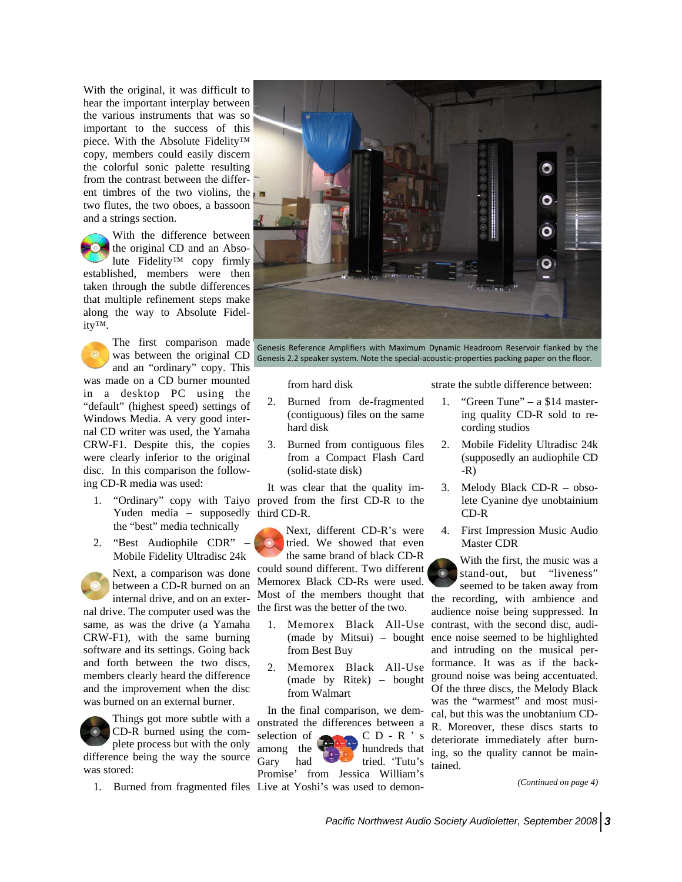With the original, it was difficult to hear the important interplay between the various instruments that was so important to the success of this piece. With the Absolute Fidelity™ copy, members could easily discern the colorful sonic palette resulting from the contrast between the different timbres of the two violins, the two flutes, the two oboes, a bassoon and a strings section.

With the difference between the original CD and an Absolute Fidelity™ copy firmly established, members were then taken through the subtle differences that multiple refinement steps make along the way to Absolute Fidelity™.

The first comparison made was between the original CD and an "ordinary" copy. This was made on a CD burner mounted in a desktop PC using the "default" (highest speed) settings of Windows Media. A very good internal CD writer was used, the Yamaha CRW-F1. Despite this, the copies were clearly inferior to the original disc. In this comparison the following CD-R media was used:

- Yuden media supposedly third CD-R. the "best" media technically
- 2. "Best Audiophile CDR" Mobile Fidelity Ultradisc 24k

Next, a comparison was done between a CD-R burned on an internal drive, and on an external drive. The computer used was the same, as was the drive (a Yamaha CRW-F1), with the same burning software and its settings. Going back and forth between the two discs, members clearly heard the difference and the improvement when the disc was burned on an external burner.



Things got more subtle with a CD-R burned using the complete process but with the only

difference being the way the source was stored:



Genesis Reference Amplifiers with Maximum Dynamic Headroom Reservoir flanked by the Genesis 2.2 speaker system. Note the special-acoustic-properties packing paper on the floor.

from hard disk

- 2. Burned from de-fragmented (contiguous) files on the same hard disk
- 3. Burned from contiguous files from a Compact Flash Card (solid-state disk)

1. "Ordinary" copy with Taiyo proved from the first CD-R to the It was clear that the quality im-

> Next, different CD-R's were tried. We showed that even the same brand of black CD-R

could sound different. Two different Memorex Black CD-Rs were used. Most of the members thought that the first was the better of the two.

- from Best Buy
- 2. Memorex Black All-Use from Walmart

1. Burned from fragmented files Live at Yoshi's was used to demon-In the final comparison, we demonstrated the differences between a selection of  $C D - R$  's among the **hundreds** that Gary had tried. 'Tutu's Promise' from Jessica William's

strate the subtle difference between:

- 1. "Green Tune" a \$14 mastering quality CD-R sold to recording studios
- 2. Mobile Fidelity Ultradisc 24k (supposedly an audiophile CD -R)
- 3. Melody Black CD-R obsolete Cyanine dye unobtainium CD-R
- 4. First Impression Music Audio Master CDR

1. Memorex Black All-Use contrast, with the second disc, audi-(made by Mitsui) – bought ence noise seemed to be highlighted (made by Ritek) – bought ground noise was being accentuated. With the first, the music was a stand-out, but "liveness" seemed to be taken away from the recording, with ambience and audience noise being suppressed. In and intruding on the musical performance. It was as if the back-Of the three discs, the Melody Black was the "warmest" and most musical, but this was the unobtanium CD-R. Moreover, these discs starts to deteriorate immediately after burning, so the quality cannot be maintained.

*(Continued on page 4)*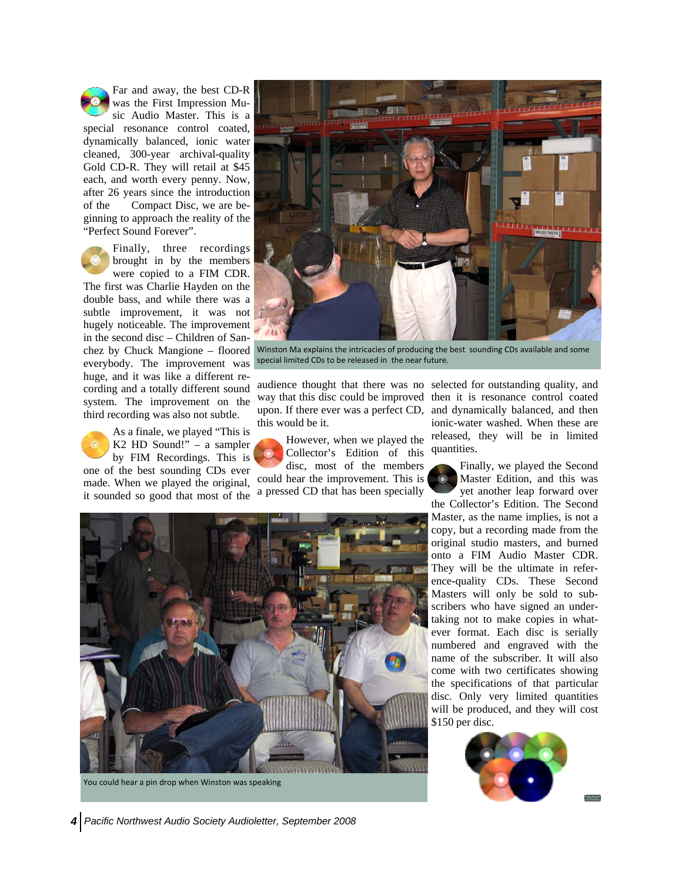Far and away, the best CD-R was the First Impression Music Audio Master. This is a special resonance control coated, dynamically balanced, ionic water cleaned, 300-year archival-quality Gold CD-R. They will retail at \$45 each, and worth every penny. Now, after 26 years since the introduction of the Compact Disc, we are beginning to approach the reality of the "Perfect Sound Forever".

Finally, three recordings brought in by the members were copied to a FIM CDR. The first was Charlie Hayden on the double bass, and while there was a subtle improvement, it was not hugely noticeable. The improvement in the second disc – Children of Sanchez by Chuck Mangione – floored everybody. The improvement was huge, and it was like a different recording and a totally different sound system. The improvement on the third recording was also not subtle.

As a finale, we played "This is K2 HD Sound!" – a sampler by FIM Recordings. This is one of the best sounding CDs ever made. When we played the original, it sounded so good that most of the



Winston Ma explains the intricacies of producing the best sounding CDs available and some special limited CDs to be released in the near future.

way that this disc could be improved then it is resonance control coated upon. If there ever was a perfect CD, this would be it.

However, when we played the Collector's Edition of this disc, most of the members could hear the improvement. This is a pressed CD that has been specially

audience thought that there was no selected for outstanding quality, and and dynamically balanced, and then ionic-water washed. When these are released, they will be in limited quantities.

> Finally, we played the Second Master Edition, and this was yet another leap forward over the Collector's Edition. The Second Master, as the name implies, is not a copy, but a recording made from the original studio masters, and burned onto a FIM Audio Master CDR. They will be the ultimate in reference-quality CDs. These Second Masters will only be sold to subscribers who have signed an undertaking not to make copies in whatever format. Each disc is serially numbered and engraved with the name of the subscriber. It will also come with two certificates showing the specifications of that particular disc. Only very limited quantities will be produced, and they will cost \$150 per disc.





You could hear a pin drop when Winston was speaking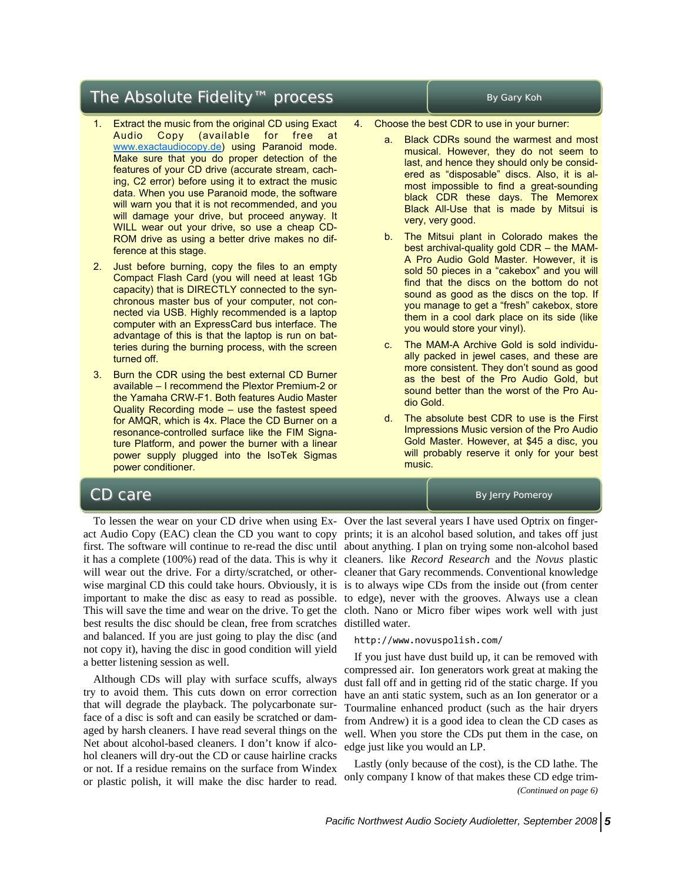### The Absolute Fidelity™ process Figure The Absolute Fidelity™ process

- 1. Extract the music from the original CD using Exact Audio Copy (available for free at www.exactaudiocopy.de) using Paranoid mode. Make sure that you do proper detection of the features of your CD drive (accurate stream, caching, C2 error) before using it to extract the music data. When you use Paranoid mode, the software will warn you that it is not recommended, and you will damage your drive, but proceed anyway. It WILL wear out your drive, so use a cheap CD-ROM drive as using a better drive makes no difference at this stage.
- 2. Just before burning, copy the files to an empty Compact Flash Card (you will need at least 1Gb capacity) that is DIRECTLY connected to the synchronous master bus of your computer, not connected via USB. Highly recommended is a laptop computer with an ExpressCard bus interface. The advantage of this is that the laptop is run on batteries during the burning process, with the screen turned off.
- 3. Burn the CDR using the best external CD Burner available – I recommend the Plextor Premium-2 or the Yamaha CRW-F1. Both features Audio Master Quality Recording mode – use the fastest speed for AMQR, which is 4x. Place the CD Burner on a resonance-controlled surface like the FIM Signature Platform, and power the burner with a linear power supply plugged into the IsoTek Sigmas power conditioner.

- 4. Choose the best CDR to use in your burner:
	- Black CDRs sound the warmest and most musical. However, they do not seem to last, and hence they should only be considered as "disposable" discs. Also, it is almost impossible to find a great-sounding black CDR these days. The Memorex Black All-Use that is made by Mitsui is very, very good.
	- b. The Mitsui plant in Colorado makes the best archival-quality gold CDR – the MAM-A Pro Audio Gold Master. However, it is sold 50 pieces in a "cakebox" and you will find that the discs on the bottom do not sound as good as the discs on the top. If you manage to get a "fresh" cakebox, store them in a cool dark place on its side (like you would store your vinyl).
	- c. The MAM-A Archive Gold is sold individually packed in jewel cases, and these are more consistent. They don't sound as good as the best of the Pro Audio Gold, but sound better than the worst of the Pro Audio Gold.
	- d. The absolute best CDR to use is the First Impressions Music version of the Pro Audio Gold Master. However, at \$45 a disc, you will probably reserve it only for your best music.

**CD care** By Jerry Pomeroy

best results the disc should be clean, free from scratches distilled water. and balanced. If you are just going to play the disc (and not copy it), having the disc in good condition will yield a better listening session as well.

Although CDs will play with surface scuffs, always try to avoid them. This cuts down on error correction that will degrade the playback. The polycarbonate surface of a disc is soft and can easily be scratched or damaged by harsh cleaners. I have read several things on the Net about alcohol-based cleaners. I don't know if alcohol cleaners will dry-out the CD or cause hairline cracks or not. If a residue remains on the surface from Windex or plastic polish, it will make the disc harder to read.

To lessen the wear on your CD drive when using Ex-Over the last several years I have used Optrix on fingeract Audio Copy (EAC) clean the CD you want to copy prints; it is an alcohol based solution, and takes off just first. The software will continue to re-read the disc until about anything. I plan on trying some non-alcohol based it has a complete (100%) read of the data. This is why it cleaners. like *Record Research* and the *Novus* plastic will wear out the drive. For a dirty/scratched, or other-cleaner that Gary recommends. Conventional knowledge wise marginal CD this could take hours. Obviously, it is is to always wipe CDs from the inside out (from center important to make the disc as easy to read as possible. to edge), never with the grooves. Always use a clean This will save the time and wear on the drive. To get the cloth. Nano or Micro fiber wipes work well with just

### http://www.novuspolish.com/

If you just have dust build up, it can be removed with compressed air. Ion generators work great at making the dust fall off and in getting rid of the static charge. If you have an anti static system, such as an Ion generator or a Tourmaline enhanced product (such as the hair dryers from Andrew) it is a good idea to clean the CD cases as well. When you store the CDs put them in the case, on edge just like you would an LP.

Lastly (only because of the cost), is the CD lathe. The only company I know of that makes these CD edge trim- *(Continued on page 6)*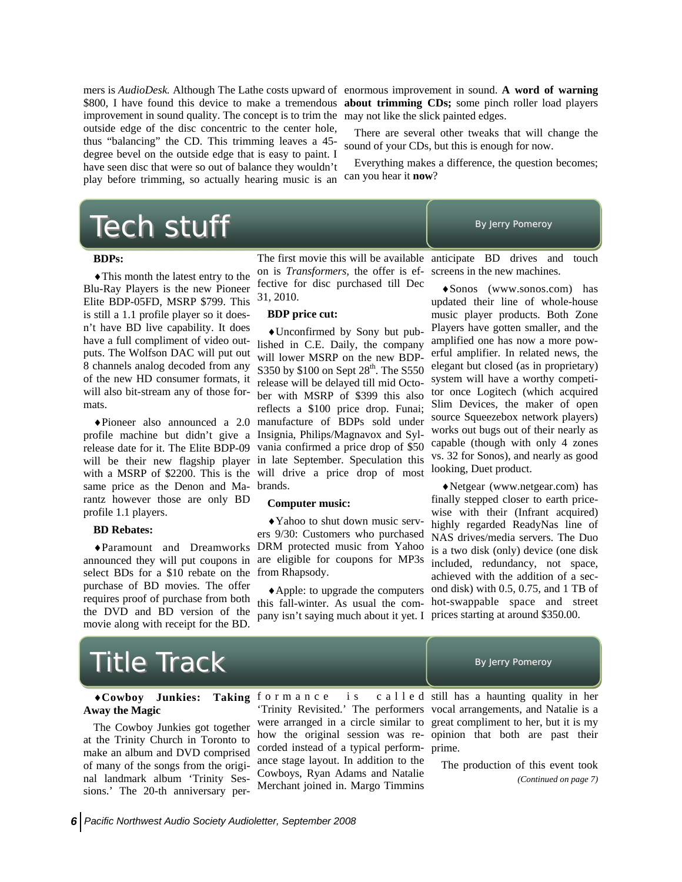improvement in sound quality. The concept is to trim the may not like the slick painted edges. outside edge of the disc concentric to the center hole, thus "balancing" the CD. This trimming leaves a 45 degree bevel on the outside edge that is easy to paint. I have seen disc that were so out of balance they wouldn't play before trimming, so actually hearing music is an

mers is *AudioDesk.* Although The Lathe costs upward of enormous improvement in sound. **A word of warning**  \$800, I have found this device to make a tremendous **about trimming CDs;** some pinch roller load players

> There are several other tweaks that will change the sound of your CDs, but this is enough for now.

> Everything makes a difference, the question becomes; can you hear it **now**?

## $\textsf{Tech}$  stuff  $\textsf{Bylerry Pomeroy}$

### **BDPs:**

♦This month the latest entry to the Blu-Ray Players is the new Pioneer Elite BDP-05FD, MSRP \$799. This is still a 1.1 profile player so it doesn't have BD live capability. It does have a full compliment of video outputs. The Wolfson DAC will put out 8 channels analog decoded from any of the new HD consumer formats, it will also bit-stream any of those formats.

same price as the Denon and Ma-brands. rantz however those are only BD profile 1.1 players.

### **BD Rebates:**

select BDs for a \$10 rebate on the from Rhapsody. purchase of BD movies. The offer requires proof of purchase from both the DVD and BD version of the movie along with receipt for the BD.

The first movie this will be available anticipate BD drives and touch on is *Transformers,* the offer is ef-screens in the new machines. fective for disc purchased till Dec 31, 2010.

### **BDP price cut:**

♦Pioneer also announced a 2.0 manufacture of BDPs sold under profile machine but didn't give a Insignia, Philips/Magnavox and Sylrelease date for it. The Elite BDP-09 vania confirmed a price drop of \$50 will be their new flagship player in late September. Speculation this with a MSRP of \$2200. This is the will drive a price drop of most ♦Unconfirmed by Sony but published in C.E. Daily, the company will lower MSRP on the new BDP-S350 by  $$100$  on Sept  $28<sup>th</sup>$ . The S550 release will be delayed till mid October with MSRP of \$399 this also reflects a \$100 price drop. Funai;

### **Computer music:**

♦Paramount and Dreamworks DRM protected music from Yahoo announced they will put coupons in are eligible for coupons for MP3s ♦Yahoo to shut down music servers 9/30: Customers who purchased

> this fall-winter. As usual the com-hot-swappable space and street pany isn't saying much about it yet. I prices starting at around \$350.00.

♦Sonos (www.sonos.com) has updated their line of whole-house music player products. Both Zone Players have gotten smaller, and the amplified one has now a more powerful amplifier. In related news, the elegant but closed (as in proprietary) system will have a worthy competitor once Logitech (which acquired Slim Devices, the maker of open source Squeezebox network players) works out bugs out of their nearly as capable (though with only 4 zones vs. 32 for Sonos), and nearly as good looking, Duet product.

♦Apple: to upgrade the computers ond disk) with 0.5, 0.75, and 1 TB of ♦Netgear (www.netgear.com) has finally stepped closer to earth pricewise with their (Infrant acquired) highly regarded ReadyNas line of NAS drives/media servers. The Duo is a two disk (only) device (one disk included, redundancy, not space, achieved with the addition of a sec-

## $\textsf{Title}$  Track  $\textsf{B}_{\textsf{y}$  Jerry Pomeroy

## **Away the Magic**

The Cowboy Junkies got together at the Trinity Church in Toronto to make an album and DVD comprised of many of the songs from the original landmark album 'Trinity Sessions.' The 20-th anniversary per-

♦**Cowboy Junkies: Taking**  f o r m a n c e i s c a l l e d 'Trinity Revisited.' The performers vocal arrangements, and Natalie is a were arranged in a circle similar to great compliment to her, but it is my how the original session was re-opinion that both are past their corded instead of a typical perform-prime. ance stage layout. In addition to the Cowboys, Ryan Adams and Natalie Merchant joined in. Margo Timmins

 $c a 11 e d$  still has a haunting quality in her

The production of this event took *(Continued on page 7)*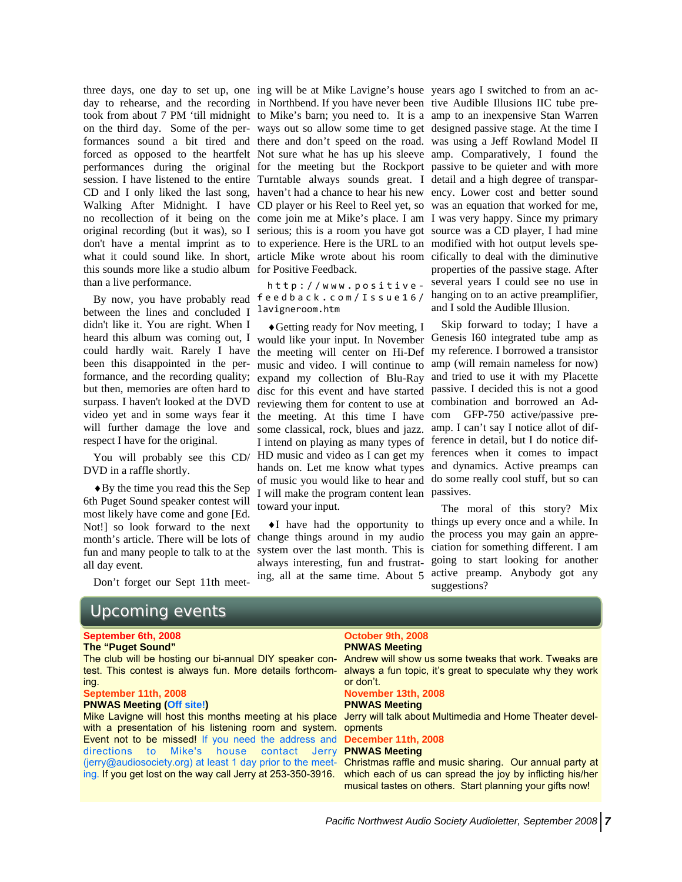three days, one day to set up, one ing will be at Mike Lavigne's house years ago I switched to from an acthis sounds more like a studio album for Positive Feedback. than a live performance.

between the lines and concluded I didn't like it. You are right. When I heard this album was coming out, I could hardly wait. Rarely I have been this disappointed in the performance, and the recording quality; but then, memories are often hard to surpass. I haven't looked at the DVD video yet and in some ways fear it will further damage the love and respect I have for the original.

You will probably see this CD/ DVD in a raffle shortly.

♦By the time you read this the Sep 6th Puget Sound speaker contest will most likely have come and gone [Ed. Not!] so look forward to the next month's article. There will be lots of fun and many people to talk to at the all day event.

Don't forget our Sept 11th meet-

# Upcoming events

### **September 6th, 2008**

**The "Puget Sound"** 

The club will be hosting our bi-annual DIY speaker contest. This contest is always fun. More details forthcoming.

### **September 11th, 2008**

#### **PNWAS Meeting (Off site!)**

Mike Lavigne will host this months meeting at his place with a presentation of his listening room and system. Event not to be missed! If you need the address and directions to Mike's house contact Jerry (jerry@audiosociety.org) at least 1 day prior to the meeting. If you get lost on the way call Jerry at 253-350-3916.

day to rehearse, and the recording in Northbend. If you have never been tive Audible Illusions IIC tube pretook from about 7 PM 'till midnight to Mike's barn; you need to. It is a amp to an inexpensive Stan Warren on the third day. Some of the per-ways out so allow some time to get designed passive stage. At the time I formances sound a bit tired and there and don't speed on the road. was using a Jeff Rowland Model II forced as opposed to the heartfelt Not sure what he has up his sleeve amp. Comparatively, I found the performances during the original for the meeting but the Rockport passive to be quieter and with more session. I have listened to the entire Turntable always sounds great. I detail and a high degree of transpar-CD and I only liked the last song, haven't had a chance to hear his new ency. Lower cost and better sound Walking After Midnight. I have CD player or his Reel to Reel yet, so was an equation that worked for me, no recollection of it being on the come join me at Mike's place. I am I was very happy. Since my primary original recording (but it was), so I serious; this is a room you have got source was a CD player, I had mine don't have a mental imprint as to to experience. Here is the URL to an modified with hot output levels spewhat it could sound like. In short, article Mike wrote about his room cifically to deal with the diminutive

By now, you have probably read feedback.com/Issue16/ http://www.positive ‐ lavigneroom.htm

> ♦Getting ready for Nov meeting, I would like your input. In November Genesis I60 integrated tube amp as the meeting will center on Hi-Def my reference. I borrowed a transistor music and video. I will continue to amp (will remain nameless for now) expand my collection of Blu-Ray and tried to use it with my Placette disc for this event and have started passive. I decided this is not a good reviewing them for content to use at combination and borrowed an Adthe meeting. At this time I have some classical, rock, blues and jazz. I intend on playing as many types of ference in detail, but I do notice dif-HD music and video as I can get my ferences when it comes to impact hands on. Let me know what types and dynamics. Active preamps can of music you would like to hear and do some really cool stuff, but so can I will make the program content lean passives. toward your input.

♦I have had the opportunity to change things around in my audio system over the last month. This is always interesting, fun and frustrating, all at the same time. About 5

properties of the passive stage. After several years I could see no use in hanging on to an active preamplifier, and I sold the Audible Illusion.

Skip forward to today; I have a com GFP-750 active/passive preamp. I can't say I notice allot of dif-

The moral of this story? Mix things up every once and a while. In the process you may gain an appreciation for something different. I am going to start looking for another active preamp. Anybody got any suggestions?

#### **October 9th, 2008 PNWAS Meeting**

Andrew will show us some tweaks that work. Tweaks are always a fun topic, it's great to speculate why they work or don't.

### **November 13th, 2008**

### **PNWAS Meeting**

Jerry will talk about Multimedia and Home Theater developments

### **December 11th, 2008**

### **PNWAS Meeting**

Christmas raffle and music sharing. Our annual party at which each of us can spread the joy by inflicting his/her musical tastes on others. Start planning your gifts now!